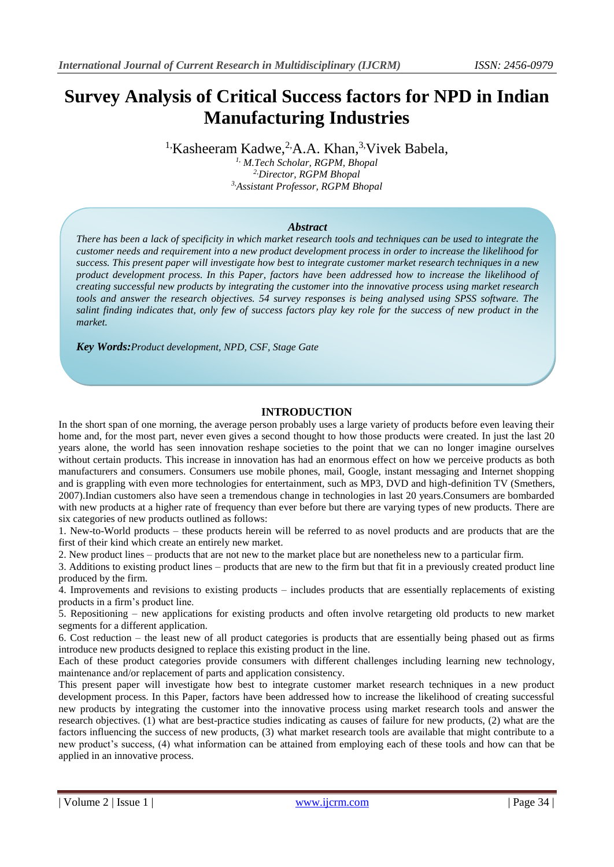# **Survey Analysis of Critical Success factors for NPD in Indian Manufacturing Industries**

<sup>1,</sup>Kasheeram Kadwe,<sup>2,</sup>A.A. Khan,<sup>3,</sup>Vivek Babela,

*1, M.Tech Scholar, RGPM, Bhopal 2,Director, RGPM Bhopal 3,Assistant Professor, RGPM Bhopal*

#### *Abstract*

*There has been a lack of specificity in which market research tools and techniques can be used to integrate the customer needs and requirement into a new product development process in order to increase the likelihood for success. This present paper will investigate how best to integrate customer market research techniques in a new product development process. In this Paper, factors have been addressed how to increase the likelihood of creating successful new products by integrating the customer into the innovative process using market research tools and answer the research objectives. 54 survey responses is being analysed using SPSS software. The salint finding indicates that, only few of success factors play key role for the success of new product in the market.*

*Key Words:Product development, NPD, CSF, Stage Gate*

## **INTRODUCTION**

In the short span of one morning, the average person probably uses a large variety of products before even leaving their home and, for the most part, never even gives a second thought to how those products were created. In just the last 20 years alone, the world has seen innovation reshape societies to the point that we can no longer imagine ourselves without certain products. This increase in innovation has had an enormous effect on how we perceive products as both manufacturers and consumers. Consumers use mobile phones, mail, Google, instant messaging and Internet shopping and is grappling with even more technologies for entertainment, such as MP3, DVD and high-definition TV (Smethers, 2007).Indian customers also have seen a tremendous change in technologies in last 20 years.Consumers are bombarded with new products at a higher rate of frequency than ever before but there are varying types of new products. There are six categories of new products outlined as follows:

1. New-to-World products – these products herein will be referred to as novel products and are products that are the first of their kind which create an entirely new market.

2. New product lines – products that are not new to the market place but are nonetheless new to a particular firm.

3. Additions to existing product lines – products that are new to the firm but that fit in a previously created product line produced by the firm.

4. Improvements and revisions to existing products – includes products that are essentially replacements of existing products in a firm's product line.

5. Repositioning – new applications for existing products and often involve retargeting old products to new market segments for a different application.

6. Cost reduction – the least new of all product categories is products that are essentially being phased out as firms introduce new products designed to replace this existing product in the line.

Each of these product categories provide consumers with different challenges including learning new technology, maintenance and/or replacement of parts and application consistency.

This present paper will investigate how best to integrate customer market research techniques in a new product development process. In this Paper, factors have been addressed how to increase the likelihood of creating successful new products by integrating the customer into the innovative process using market research tools and answer the research objectives. (1) what are best-practice studies indicating as causes of failure for new products, (2) what are the factors influencing the success of new products, (3) what market research tools are available that might contribute to a new product's success, (4) what information can be attained from employing each of these tools and how can that be applied in an innovative process.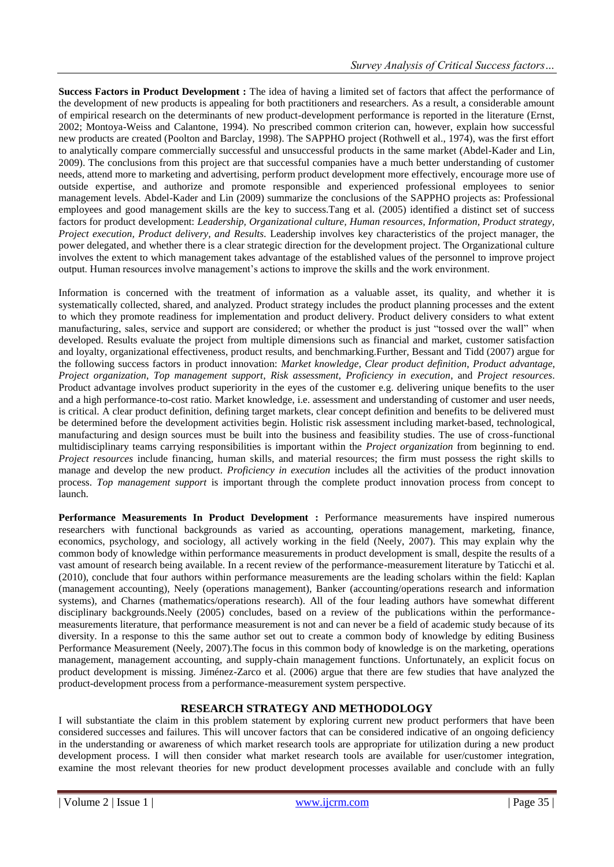**Success Factors in Product Development :** The idea of having a limited set of factors that affect the performance of the development of new products is appealing for both practitioners and researchers. As a result, a considerable amount of empirical research on the determinants of new product-development performance is reported in the literature (Ernst, 2002; Montoya-Weiss and Calantone, 1994). No prescribed common criterion can, however, explain how successful new products are created (Poolton and Barclay, 1998). The SAPPHO project (Rothwell et al., 1974), was the first effort to analytically compare commercially successful and unsuccessful products in the same market (Abdel-Kader and Lin, 2009). The conclusions from this project are that successful companies have a much better understanding of customer needs, attend more to marketing and advertising, perform product development more effectively, encourage more use of outside expertise, and authorize and promote responsible and experienced professional employees to senior management levels. Abdel-Kader and Lin (2009) summarize the conclusions of the SAPPHO projects as: Professional employees and good management skills are the key to success.Tang et al. (2005) identified a distinct set of success factors for product development: *Leadership, Organizational culture, Human resources, Information, Product strategy, Project execution, Product delivery, and Results*. Leadership involves key characteristics of the project manager, the power delegated, and whether there is a clear strategic direction for the development project. The Organizational culture involves the extent to which management takes advantage of the established values of the personnel to improve project output. Human resources involve management's actions to improve the skills and the work environment.

Information is concerned with the treatment of information as a valuable asset, its quality, and whether it is systematically collected, shared, and analyzed. Product strategy includes the product planning processes and the extent to which they promote readiness for implementation and product delivery. Product delivery considers to what extent manufacturing, sales, service and support are considered; or whether the product is just "tossed over the wall" when developed. Results evaluate the project from multiple dimensions such as financial and market, customer satisfaction and loyalty, organizational effectiveness, product results, and benchmarking.Further, Bessant and Tidd (2007) argue for the following success factors in product innovation: *Market knowledge*, *Clear product definition*, *Product advantage*, *Project organization*, *Top management support*, *Risk assessment*, *Proficiency in execution*, and *Project resources*. Product advantage involves product superiority in the eyes of the customer e.g. delivering unique benefits to the user and a high performance-to-cost ratio. Market knowledge, i.e. assessment and understanding of customer and user needs, is critical. A clear product definition, defining target markets, clear concept definition and benefits to be delivered must be determined before the development activities begin. Holistic risk assessment including market-based, technological, manufacturing and design sources must be built into the business and feasibility studies. The use of cross-functional multidisciplinary teams carrying responsibilities is important within the *Project organization* from beginning to end. *Project resources* include financing, human skills, and material resources; the firm must possess the right skills to manage and develop the new product. *Proficiency in execution* includes all the activities of the product innovation process. *Top management support* is important through the complete product innovation process from concept to launch.

Performance Measurements In Product Development : Performance measurements have inspired numerous researchers with functional backgrounds as varied as accounting, operations management, marketing, finance, economics, psychology, and sociology, all actively working in the field (Neely, 2007). This may explain why the common body of knowledge within performance measurements in product development is small, despite the results of a vast amount of research being available. In a recent review of the performance-measurement literature by Taticchi et al. (2010), conclude that four authors within performance measurements are the leading scholars within the field: Kaplan (management accounting), Neely (operations management), Banker (accounting/operations research and information systems), and Charnes (mathematics/operations research). All of the four leading authors have somewhat different disciplinary backgrounds.Neely (2005) concludes, based on a review of the publications within the performancemeasurements literature, that performance measurement is not and can never be a field of academic study because of its diversity. In a response to this the same author set out to create a common body of knowledge by editing Business Performance Measurement (Neely, 2007).The focus in this common body of knowledge is on the marketing, operations management, management accounting, and supply-chain management functions. Unfortunately, an explicit focus on product development is missing. Jiménez-Zarco et al. (2006) argue that there are few studies that have analyzed the product-development process from a performance-measurement system perspective.

# **RESEARCH STRATEGY AND METHODOLOGY**

I will substantiate the claim in this problem statement by exploring current new product performers that have been considered successes and failures. This will uncover factors that can be considered indicative of an ongoing deficiency in the understanding or awareness of which market research tools are appropriate for utilization during a new product development process. I will then consider what market research tools are available for user/customer integration, examine the most relevant theories for new product development processes available and conclude with an fully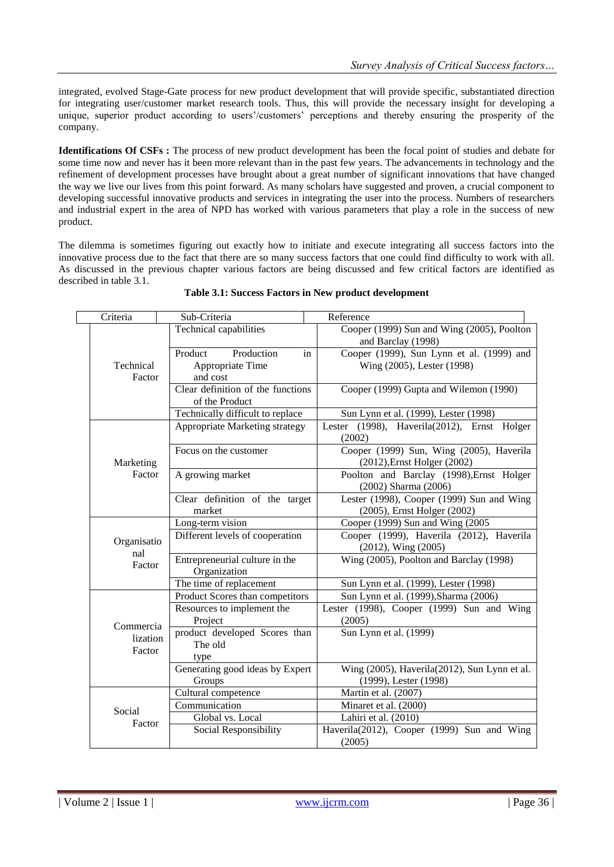integrated, evolved Stage-Gate process for new product development that will provide specific, substantiated direction for integrating user/customer market research tools. Thus, this will provide the necessary insight for developing a unique, superior product according to users'/customers' perceptions and thereby ensuring the prosperity of the company.

**Identifications Of CSFs :** The process of new product development has been the focal point of studies and debate for some time now and never has it been more relevant than in the past few years. The advancements in technology and the refinement of development processes have brought about a great number of significant innovations that have changed the way we live our lives from this point forward. As many scholars have suggested and proven, a crucial component to developing successful innovative products and services in integrating the user into the process. Numbers of researchers and industrial expert in the area of NPD has worked with various parameters that play a role in the success of new product.

The dilemma is sometimes figuring out exactly how to initiate and execute integrating all success factors into the innovative process due to the fact that there are so many success factors that one could find difficulty to work with all. As discussed in the previous chapter various factors are being discussed and few critical factors are identified as described in table 3.1.

| Criteria            | Sub-Criteria                      | Reference                                    |  |  |  |  |
|---------------------|-----------------------------------|----------------------------------------------|--|--|--|--|
| Technical<br>Factor | Technical capabilities            | Cooper (1999) Sun and Wing (2005), Poolton   |  |  |  |  |
|                     |                                   | and Barclay (1998)                           |  |  |  |  |
|                     | Production<br>Product<br>in       | Cooper (1999), Sun Lynn et al. (1999) and    |  |  |  |  |
|                     | Appropriate Time                  | Wing (2005), Lester (1998)                   |  |  |  |  |
|                     | and cost                          |                                              |  |  |  |  |
|                     | Clear definition of the functions | Cooper (1999) Gupta and Wilemon (1990)       |  |  |  |  |
|                     | of the Product                    |                                              |  |  |  |  |
|                     | Technically difficult to replace  | Sun Lynn et al. (1999), Lester (1998)        |  |  |  |  |
|                     | Appropriate Marketing strategy    | Lester (1998), Haverila(2012), Ernst Holger  |  |  |  |  |
|                     |                                   | (2002)                                       |  |  |  |  |
|                     | Focus on the customer             | Cooper (1999) Sun, Wing (2005), Haverila     |  |  |  |  |
| Marketing           |                                   | (2012), Ernst Holger (2002)                  |  |  |  |  |
| Factor              | A growing market                  | Poolton and Barclay (1998), Ernst Holger     |  |  |  |  |
|                     |                                   | (2002) Sharma (2006)                         |  |  |  |  |
|                     | Clear definition of the target    | Lester (1998), Cooper (1999) Sun and Wing    |  |  |  |  |
|                     | market                            | (2005), Ernst Holger (2002)                  |  |  |  |  |
|                     | Long-term vision                  | Cooper (1999) Sun and Wing (2005             |  |  |  |  |
| Organisatio         | Different levels of cooperation   | Cooper (1999), Haverila (2012), Haverila     |  |  |  |  |
| nal                 |                                   | $(2012)$ , Wing $(2005)$                     |  |  |  |  |
| Factor              | Entrepreneurial culture in the    | Wing (2005), Poolton and Barclay (1998)      |  |  |  |  |
|                     | Organization                      |                                              |  |  |  |  |
|                     | The time of replacement           | Sun Lynn et al. (1999), Lester (1998)        |  |  |  |  |
|                     | Product Scores than competitors   | Sun Lynn et al. (1999), Sharma (2006)        |  |  |  |  |
|                     | Resources to implement the        | Lester (1998), Cooper (1999) Sun and Wing    |  |  |  |  |
| Commercia           | Project                           | (2005)                                       |  |  |  |  |
| lization            | product developed Scores than     | Sun Lynn et al. (1999)                       |  |  |  |  |
| Factor              | The old                           |                                              |  |  |  |  |
|                     | type                              |                                              |  |  |  |  |
|                     | Generating good ideas by Expert   | Wing (2005), Haverila(2012), Sun Lynn et al. |  |  |  |  |
|                     | Groups                            | (1999), Lester (1998)                        |  |  |  |  |
|                     | Cultural competence               | Martin et al. (2007)                         |  |  |  |  |
| Social              | Communication                     | Minaret et al. (2000)                        |  |  |  |  |
| Factor              | Global vs. Local                  | Lahiri et al. (2010)                         |  |  |  |  |
|                     | Social Responsibility             | Haverila(2012), Cooper (1999) Sun and Wing   |  |  |  |  |
|                     |                                   | (2005)                                       |  |  |  |  |

#### **Table 3.1: Success Factors in New product development**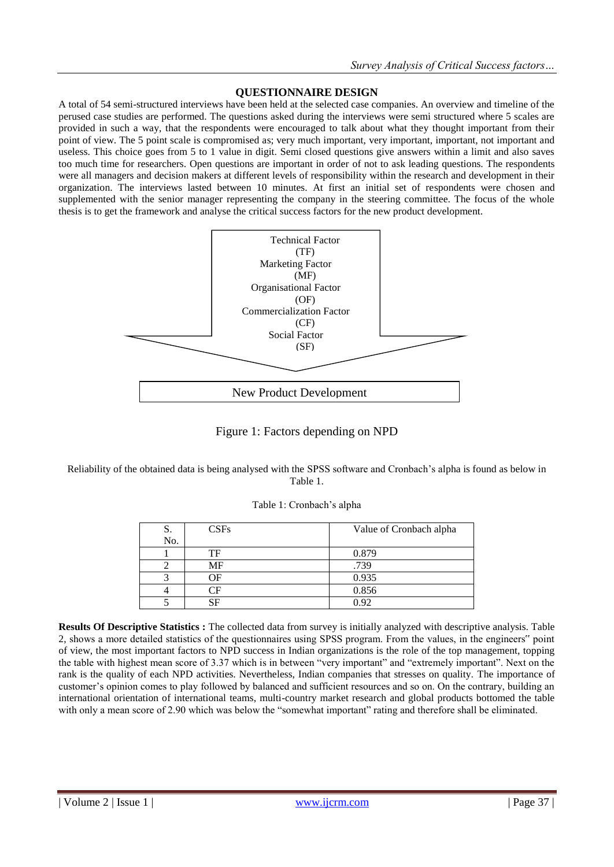# **QUESTIONNAIRE DESIGN**

A total of 54 semi-structured interviews have been held at the selected case companies. An overview and timeline of the perused case studies are performed. The questions asked during the interviews were semi structured where 5 scales are provided in such a way, that the respondents were encouraged to talk about what they thought important from their point of view. The 5 point scale is compromised as; very much important, very important, important, not important and useless. This choice goes from 5 to 1 value in digit. Semi closed questions give answers within a limit and also saves too much time for researchers. Open questions are important in order of not to ask leading questions. The respondents were all managers and decision makers at different levels of responsibility within the research and development in their organization. The interviews lasted between 10 minutes. At first an initial set of respondents were chosen and supplemented with the senior manager representing the company in the steering committee. The focus of the whole thesis is to get the framework and analyse the critical success factors for the new product development.



Figure 1: Factors depending on NPD

Reliability of the obtained data is being analysed with the SPSS software and Cronbach's alpha is found as below in Table 1.

| S.  | CSFs | Value of Cronbach alpha |
|-----|------|-------------------------|
| No. |      |                         |
|     | TF   | 0.879                   |
|     | MF   | .739                    |
|     | ΩF   | 0.935                   |
|     | ΤF   | 0.856                   |
|     |      | 0.92                    |

**Results Of Descriptive Statistics :** The collected data from survey is initially analyzed with descriptive analysis. Table 2, shows a more detailed statistics of the questionnaires using SPSS program. From the values, in the engineers" point of view, the most important factors to NPD success in Indian organizations is the role of the top management, topping the table with highest mean score of 3.37 which is in between "very important" and "extremely important". Next on the rank is the quality of each NPD activities. Nevertheless, Indian companies that stresses on quality. The importance of customer's opinion comes to play followed by balanced and sufficient resources and so on. On the contrary, building an international orientation of international teams, multi-country market research and global products bottomed the table with only a mean score of 2.90 which was below the "somewhat important" rating and therefore shall be eliminated.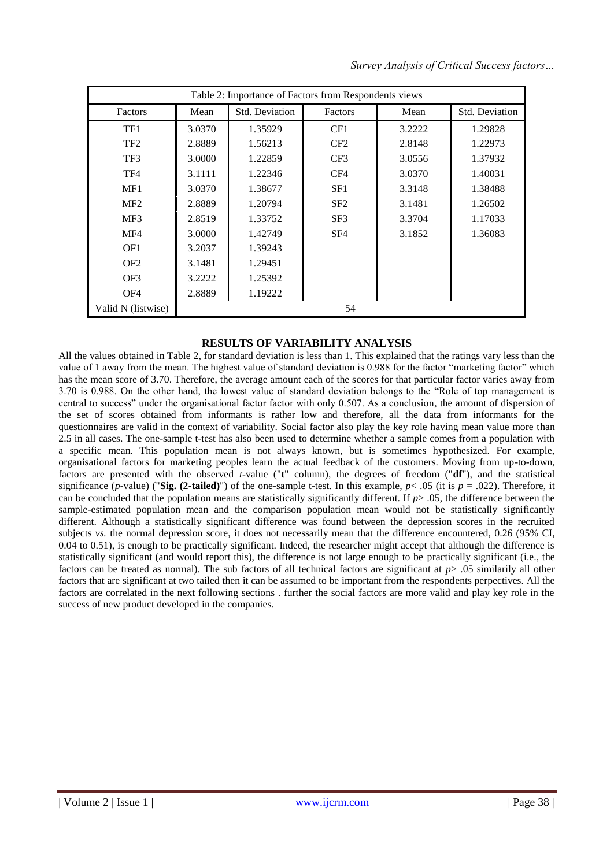|  |  | Survey Analysis of Critical Success factors |
|--|--|---------------------------------------------|
|--|--|---------------------------------------------|

| Table 2: Importance of Factors from Respondents views |                   |                |                 |        |                       |  |  |
|-------------------------------------------------------|-------------------|----------------|-----------------|--------|-----------------------|--|--|
| Mean<br>Factors                                       |                   | Std. Deviation | Factors         | Mean   | <b>Std. Deviation</b> |  |  |
| TF1                                                   | 3.0370            | 1.35929        | CF1             | 3.2222 | 1.29828               |  |  |
| TF <sub>2</sub>                                       | 2.8889            | 1.56213        | CF2             | 2.8148 | 1.22973               |  |  |
| TF3                                                   | 3.0000            | 1.22859        | CF3             | 3.0556 | 1.37932               |  |  |
| TF4                                                   | 3.1111<br>1.22346 |                | CF4             | 3.0370 | 1.40031               |  |  |
| MF1                                                   | 3.0370            | 1.38677        | SF1             | 3.3148 | 1.38488               |  |  |
| MF2                                                   | 2.8889            | 1.20794        | SF2             | 3.1481 | 1.26502               |  |  |
| MF3                                                   | 2.8519            | 1.33752        | SF <sub>3</sub> | 3.3704 | 1.17033               |  |  |
| MF4                                                   | 3.0000            | 1.42749        | SF <sub>4</sub> | 3.1852 | 1.36083               |  |  |
| OF1                                                   | 3.2037            | 1.39243        |                 |        |                       |  |  |
| OF <sub>2</sub>                                       | 3.1481            | 1.29451        |                 |        |                       |  |  |
| OF3                                                   | 3.2222            | 1.25392        |                 |        |                       |  |  |
| OF4                                                   | 2.8889            | 1.19222        |                 |        |                       |  |  |
| Valid N (listwise)<br>54                              |                   |                |                 |        |                       |  |  |

## **RESULTS OF VARIABILITY ANALYSIS**

All the values obtained in Table 2, for standard deviation is less than 1. This explained that the ratings vary less than the value of 1 away from the mean. The highest value of standard deviation is 0.988 for the factor "marketing factor" which has the mean score of 3.70. Therefore, the average amount each of the scores for that particular factor varies away from 3.70 is 0.988. On the other hand, the lowest value of standard deviation belongs to the "Role of top management is central to success" under the organisational factor factor with only 0.507. As a conclusion, the amount of dispersion of the set of scores obtained from informants is rather low and therefore, all the data from informants for the questionnaires are valid in the context of variability. Social factor also play the key role having mean value more than 2.5 in all cases. The one-sample t-test has also been used to determine whether a sample comes from a population with a specific mean. This population mean is not always known, but is sometimes hypothesized. For example, organisational factors for marketing peoples learn the actual feedback of the customers. Moving from up-to-down, factors are presented with the observed *t*-value ("**t**" column), the degrees of freedom ("**df**"), and the statistical significance (*p*-value) ("Sig. (2-tailed)") of the one-sample t-test. In this example,  $p < .05$  (it is  $p = .022$ ). Therefore, it can be concluded that the population means are statistically significantly different. If *p*> .05, the difference between the sample-estimated population mean and the comparison population mean would not be statistically significantly different. Although a statistically significant difference was found between the depression scores in the recruited subjects *vs.* the normal depression score, it does not necessarily mean that the difference encountered, 0.26 (95% CI, 0.04 to 0.51), is enough to be practically significant. Indeed, the researcher might accept that although the difference is statistically significant (and would report this), the difference is not large enough to be practically significant (i.e., the factors can be treated as normal). The sub factors of all technical factors are significant at *p*> .05 similarily all other factors that are significant at two tailed then it can be assumed to be important from the respondents perpectives. All the factors are correlated in the next following sections . further the social factors are more valid and play key role in the success of new product developed in the companies.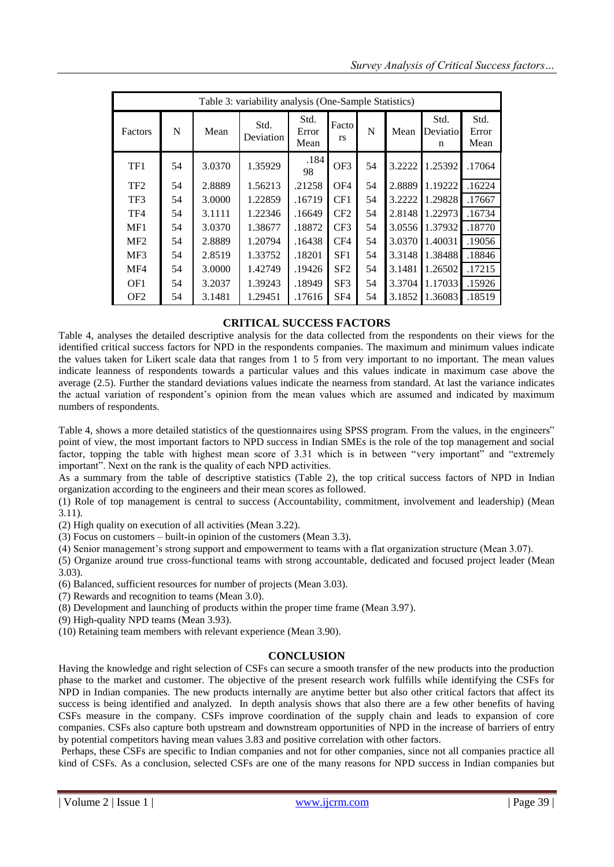| Table 3: variability analysis (One-Sample Statistics) |    |        |                   |                       |                    |    |        |                       |                       |
|-------------------------------------------------------|----|--------|-------------------|-----------------------|--------------------|----|--------|-----------------------|-----------------------|
| Factors                                               | N  | Mean   | Std.<br>Deviation | Std.<br>Error<br>Mean | Facto<br><b>rs</b> | N  | Mean   | Std.<br>Deviatio<br>n | Std.<br>Error<br>Mean |
| TF1                                                   | 54 | 3.0370 | 1.35929           | .184<br>98            | OF3                | 54 | 3.2222 | 1.25392               | .17064                |
| TF <sub>2</sub>                                       | 54 | 2.8889 | 1.56213           | .21258                | OF <sub>4</sub>    | 54 | 2.8889 | 1.19222               | .16224                |
| TF3                                                   | 54 | 3.0000 | 1.22859           | .16719                | CF1                | 54 | 3.2222 | 1.29828               | .17667                |
| TF4                                                   | 54 | 3.1111 | 1.22346           | .16649                | CF <sub>2</sub>    | 54 | 2.8148 | 1.22973               | .16734                |
| MF1                                                   | 54 | 3.0370 | 1.38677           | .18872                | CF <sub>3</sub>    | 54 | 3.0556 | 1.37932               | .18770                |
| MF2                                                   | 54 | 2.8889 | 1.20794           | .16438                | CF4                | 54 | 3.0370 | 1.40031               | .19056                |
| MF3                                                   | 54 | 2.8519 | 1.33752           | .18201                | SF1                | 54 | 3.3148 | 1.38488               | .18846                |
| MF4                                                   | 54 | 3.0000 | 1.42749           | .19426                | SF <sub>2</sub>    | 54 | 3.1481 | 1.26502               | .17215                |
| OF1                                                   | 54 | 3.2037 | 1.39243           | .18949                | SF3                | 54 | 3.3704 | 1.17033               | .15926                |
| OF <sub>2</sub>                                       | 54 | 3.1481 | 1.29451           | .17616                | SF <sub>4</sub>    | 54 | 3.1852 | 1.36083               | .18519                |

# **CRITICAL SUCCESS FACTORS**

Table 4, analyses the detailed descriptive analysis for the data collected from the respondents on their views for the identified critical success factors for NPD in the respondents companies. The maximum and minimum values indicate the values taken for Likert scale data that ranges from 1 to 5 from very important to no important. The mean values indicate leanness of respondents towards a particular values and this values indicate in maximum case above the average (2.5). Further the standard deviations values indicate the nearness from standard. At last the variance indicates the actual variation of respondent's opinion from the mean values which are assumed and indicated by maximum numbers of respondents.

Table 4, shows a more detailed statistics of the questionnaires using SPSS program. From the values, in the engineers" point of view, the most important factors to NPD success in Indian SMEs is the role of the top management and social factor, topping the table with highest mean score of 3.31 which is in between "very important" and "extremely important". Next on the rank is the quality of each NPD activities.

As a summary from the table of descriptive statistics (Table 2), the top critical success factors of NPD in Indian organization according to the engineers and their mean scores as followed.

(1) Role of top management is central to success (Accountability, commitment, involvement and leadership) (Mean 3.11).

(2) High quality on execution of all activities (Mean 3.22).

(3) Focus on customers – built-in opinion of the customers (Mean 3.3).

(4) Senior management's strong support and empowerment to teams with a flat organization structure (Mean 3.07).

(5) Organize around true cross-functional teams with strong accountable, dedicated and focused project leader (Mean 3.03).

(6) Balanced, sufficient resources for number of projects (Mean 3.03).

(7) Rewards and recognition to teams (Mean 3.0).

(8) Development and launching of products within the proper time frame (Mean 3.97).

(9) High-quality NPD teams (Mean 3.93).

(10) Retaining team members with relevant experience (Mean 3.90).

## **CONCLUSION**

Having the knowledge and right selection of CSFs can secure a smooth transfer of the new products into the production phase to the market and customer. The objective of the present research work fulfills while identifying the CSFs for NPD in Indian companies. The new products internally are anytime better but also other critical factors that affect its success is being identified and analyzed. In depth analysis shows that also there are a few other benefits of having CSFs measure in the company. CSFs improve coordination of the supply chain and leads to expansion of core companies. CSFs also capture both upstream and downstream opportunities of NPD in the increase of barriers of entry by potential competitors having mean values 3.83 and positive correlation with other factors.

Perhaps, these CSFs are specific to Indian companies and not for other companies, since not all companies practice all kind of CSFs. As a conclusion, selected CSFs are one of the many reasons for NPD success in Indian companies but